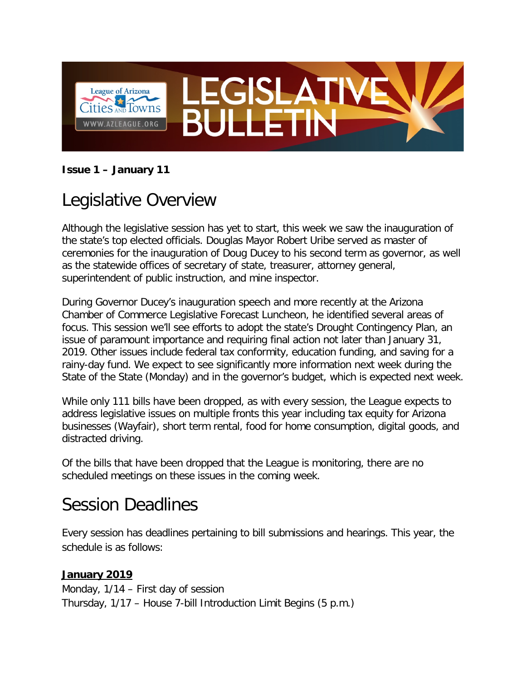

### **Issue 1 – January 11**

## Legislative Overview

Although the legislative session has yet to start, this week we saw the inauguration of the state's top elected officials. Douglas Mayor Robert Uribe served as master of ceremonies for the inauguration of Doug Ducey to his second term as governor, as well as the statewide offices of secretary of state, treasurer, attorney general, superintendent of public instruction, and mine inspector.

During Governor Ducey's inauguration speech and more recently at the Arizona Chamber of Commerce Legislative Forecast Luncheon, he identified several areas of focus. This session we'll see efforts to adopt the state's Drought Contingency Plan, an issue of paramount importance and requiring final action not later than January 31, 2019. Other issues include federal tax conformity, education funding, and saving for a rainy-day fund. We expect to see significantly more information next week during the State of the State (Monday) and in the governor's budget, which is expected next week.

While only 111 bills have been dropped, as with every session, the League expects to address legislative issues on multiple fronts this year including tax equity for Arizona businesses (Wayfair), short term rental, food for home consumption, digital goods, and distracted driving.

Of the bills that have been dropped that the League is monitoring, there are no scheduled meetings on these issues in the coming week.

## Session Deadlines

Every session has deadlines pertaining to bill submissions and hearings. This year, the schedule is as follows:

#### **January 2019**

Monday, 1/14 – First day of session Thursday, 1/17 – House 7-bill Introduction Limit Begins (5 p.m.)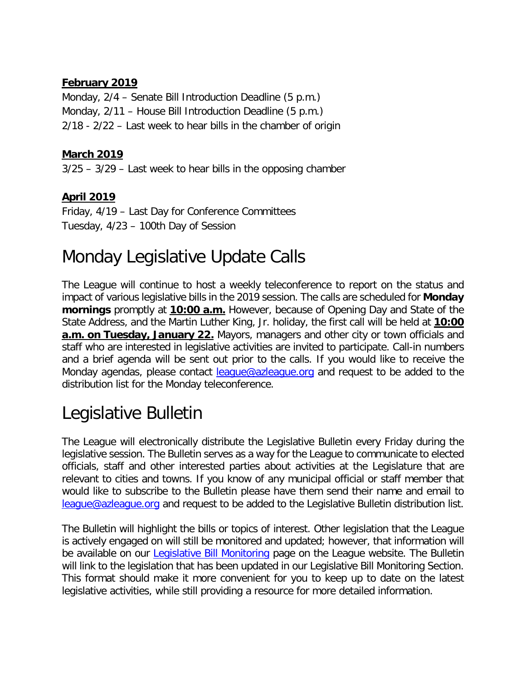#### **February 2019**

Monday, 2/4 – Senate Bill Introduction Deadline (5 p.m.) Monday, 2/11 – House Bill Introduction Deadline (5 p.m.) 2/18 - 2/22 – Last week to hear bills in the chamber of origin

#### **March 2019**

3/25 – 3/29 – Last week to hear bills in the opposing chamber

### **April 2019**

Friday, 4/19 – Last Day for Conference Committees Tuesday, 4/23 – 100th Day of Session

## Monday Legislative Update Calls

The League will continue to host a weekly teleconference to report on the status and impact of various legislative bills in the 2019 session. The calls are scheduled for **Monday mornings** promptly at **10:00 a.m.** However, because of Opening Day and State of the State Address, and the Martin Luther King, Jr. holiday, the first call will be held at **10:00 a.m. on Tuesday, January 22.** Mayors, managers and other city or town officials and staff who are interested in legislative activities are invited to participate. Call-in numbers and a brief agenda will be sent out prior to the calls. If you would like to receive the Monday agendas, please contact **league@azleague.org** and request to be added to the distribution list for the Monday teleconference.

## Legislative Bulletin

The League will electronically distribute the Legislative Bulletin every Friday during the legislative session. The Bulletin serves as a way for the League to communicate to elected officials, staff and other interested parties about activities at the Legislature that are relevant to cities and towns. If you know of any municipal official or staff member that would like to subscribe to the Bulletin please have them send their name and email to [league@azleague.org](mailto:league@azleague.org) and request to be added to the Legislative Bulletin distribution list.

The Bulletin will highlight the bills or topics of interest. Other legislation that the League is actively engaged on will still be monitored and updated; however, that information will be available on our **Legislative Bill Monitoring** page on the League website. The Bulletin will link to the legislation that has been updated in our Legislative Bill Monitoring Section. This format should make it more convenient for you to keep up to date on the latest legislative activities, while still providing a resource for more detailed information.